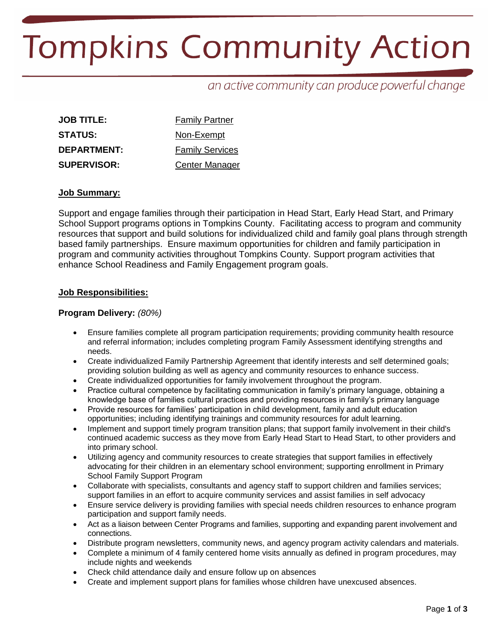# **Tompkins Community Action**

an active community can produce powerful change

| <b>JOB TITLE:</b>  | <b>Family Partner</b>  |  |
|--------------------|------------------------|--|
| <b>STATUS:</b>     | Non-Exempt             |  |
| <b>DEPARTMENT:</b> | <b>Family Services</b> |  |
| <b>SUPERVISOR:</b> | <b>Center Manager</b>  |  |

## **Job Summary:**

Support and engage families through their participation in Head Start, Early Head Start, and Primary School Support programs options in Tompkins County. Facilitating access to program and community resources that support and build solutions for individualized child and family goal plans through strength based family partnerships. Ensure maximum opportunities for children and family participation in program and community activities throughout Tompkins County. Support program activities that enhance School Readiness and Family Engagement program goals.

#### **Job Responsibilities:**

## **Program Delivery:** *(80%)*

- Ensure families complete all program participation requirements; providing community health resource and referral information; includes completing program Family Assessment identifying strengths and needs.
- Create individualized Family Partnership Agreement that identify interests and self determined goals; providing solution building as well as agency and community resources to enhance success.
- Create individualized opportunities for family involvement throughout the program.
- Practice cultural competence by facilitating communication in family's primary language, obtaining a knowledge base of families cultural practices and providing resources in family's primary language
- Provide resources for families' participation in child development, family and adult education opportunities; including identifying trainings and community resources for adult learning.
- Implement and support timely program transition plans; that support family involvement in their child's continued academic success as they move from Early Head Start to Head Start, to other providers and into primary school.
- Utilizing agency and community resources to create strategies that support families in effectively advocating for their children in an elementary school environment; supporting enrollment in Primary School Family Support Program
- Collaborate with specialists, consultants and agency staff to support children and families services; support families in an effort to acquire community services and assist families in self advocacy
- Ensure service delivery is providing families with special needs children resources to enhance program participation and support family needs.
- Act as a liaison between Center Programs and families, supporting and expanding parent involvement and connections.
- Distribute program newsletters, community news, and agency program activity calendars and materials.
- Complete a minimum of 4 family centered home visits annually as defined in program procedures, may include nights and weekends
- Check child attendance daily and ensure follow up on absences
- Create and implement support plans for families whose children have unexcused absences.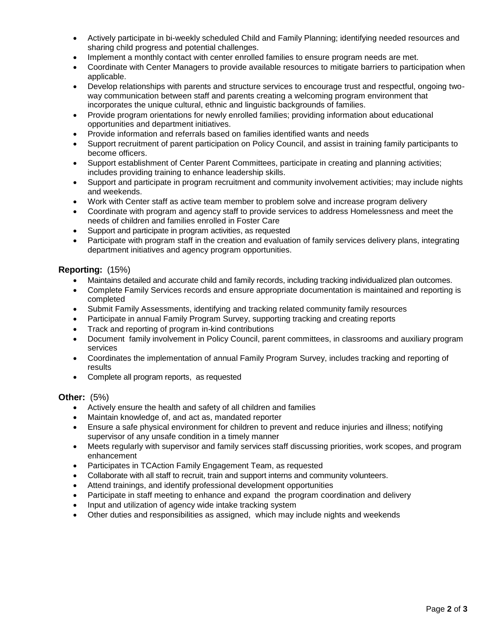- Actively participate in bi-weekly scheduled Child and Family Planning; identifying needed resources and sharing child progress and potential challenges.
- Implement a monthly contact with center enrolled families to ensure program needs are met.
- Coordinate with Center Managers to provide available resources to mitigate barriers to participation when applicable.
- Develop relationships with parents and structure services to encourage trust and respectful, ongoing twoway communication between staff and parents creating a welcoming program environment that incorporates the unique cultural, ethnic and linguistic backgrounds of families.
- Provide program orientations for newly enrolled families; providing information about educational opportunities and department initiatives.
- Provide information and referrals based on families identified wants and needs
- Support recruitment of parent participation on Policy Council, and assist in training family participants to become officers.
- Support establishment of Center Parent Committees, participate in creating and planning activities; includes providing training to enhance leadership skills.
- Support and participate in program recruitment and community involvement activities; may include nights and weekends.
- Work with Center staff as active team member to problem solve and increase program delivery
- Coordinate with program and agency staff to provide services to address Homelessness and meet the needs of children and families enrolled in Foster Care
- Support and participate in program activities, as requested
- Participate with program staff in the creation and evaluation of family services delivery plans, integrating department initiatives and agency program opportunities.

## **Reporting:** (15%)

- Maintains detailed and accurate child and family records, including tracking individualized plan outcomes.
- Complete Family Services records and ensure appropriate documentation is maintained and reporting is completed
- Submit Family Assessments, identifying and tracking related community family resources
- Participate in annual Family Program Survey, supporting tracking and creating reports
- Track and reporting of program in-kind contributions
- Document family involvement in Policy Council, parent committees, in classrooms and auxiliary program services
- Coordinates the implementation of annual Family Program Survey, includes tracking and reporting of results
- Complete all program reports, as requested

# **Other:** (5%)

- Actively ensure the health and safety of all children and families
- Maintain knowledge of, and act as, mandated reporter
- Ensure a safe physical environment for children to prevent and reduce injuries and illness; notifying supervisor of any unsafe condition in a timely manner
- Meets regularly with supervisor and family services staff discussing priorities, work scopes, and program enhancement
- Participates in TCAction Family Engagement Team, as requested
- Collaborate with all staff to recruit, train and support interns and community volunteers.
- Attend trainings, and identify professional development opportunities
- Participate in staff meeting to enhance and expand the program coordination and delivery
- Input and utilization of agency wide intake tracking system
- Other duties and responsibilities as assigned, which may include nights and weekends